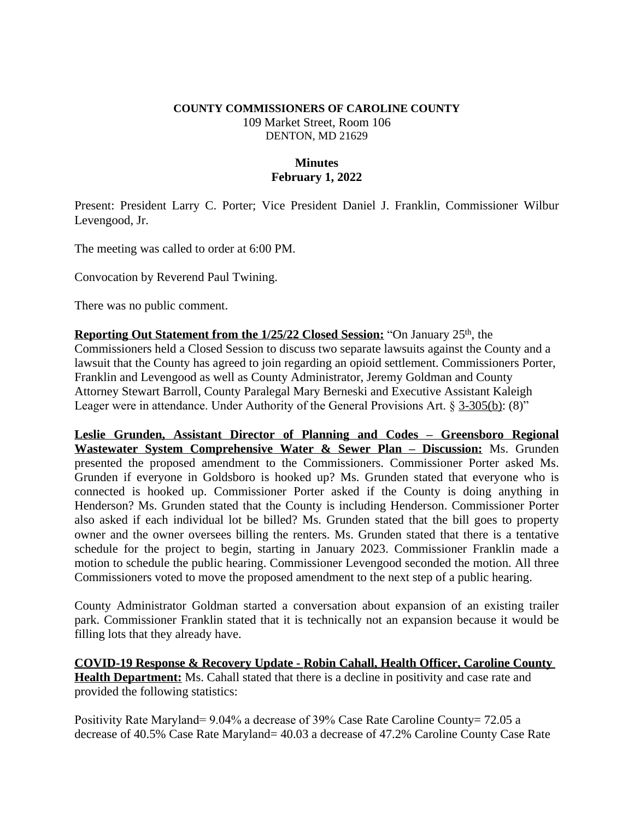### **COUNTY COMMISSIONERS OF CAROLINE COUNTY** 109 Market Street, Room 106 DENTON, MD 21629

## **Minutes February 1, 2022**

Present: President Larry C. Porter; Vice President Daniel J. Franklin, Commissioner Wilbur Levengood, Jr.

The meeting was called to order at 6:00 PM.

Convocation by Reverend Paul Twining.

There was no public comment.

**Reporting Out Statement from the 1/25/22 Closed Session:** "On January 25<sup>th</sup>, the Commissioners held a Closed Session to discuss two separate lawsuits against the County and a lawsuit that the County has agreed to join regarding an opioid settlement. Commissioners Porter, Franklin and Levengood as well as County Administrator, Jeremy Goldman and County Attorney Stewart Barroll, County Paralegal Mary Berneski and Executive Assistant Kaleigh Leager were in attendance. Under Authority of the General Provisions Art. § 3-305(b): (8)"

**Leslie Grunden, Assistant Director of Planning and Codes – Greensboro Regional Wastewater System Comprehensive Water & Sewer Plan – Discussion:** Ms. Grunden presented the proposed amendment to the Commissioners. Commissioner Porter asked Ms. Grunden if everyone in Goldsboro is hooked up? Ms. Grunden stated that everyone who is connected is hooked up. Commissioner Porter asked if the County is doing anything in Henderson? Ms. Grunden stated that the County is including Henderson. Commissioner Porter also asked if each individual lot be billed? Ms. Grunden stated that the bill goes to property owner and the owner oversees billing the renters. Ms. Grunden stated that there is a tentative schedule for the project to begin, starting in January 2023. Commissioner Franklin made a motion to schedule the public hearing. Commissioner Levengood seconded the motion. All three Commissioners voted to move the proposed amendment to the next step of a public hearing.

County Administrator Goldman started a conversation about expansion of an existing trailer park. Commissioner Franklin stated that it is technically not an expansion because it would be filling lots that they already have.

**COVID-19 Response & Recovery Update - Robin Cahall, Health Officer, Caroline County Health Department:** Ms. Cahall stated that there is a decline in positivity and case rate and provided the following statistics:

Positivity Rate Maryland= 9.04% a decrease of 39% Case Rate Caroline County= 72.05 a decrease of 40.5% Case Rate Maryland= 40.03 a decrease of 47.2% Caroline County Case Rate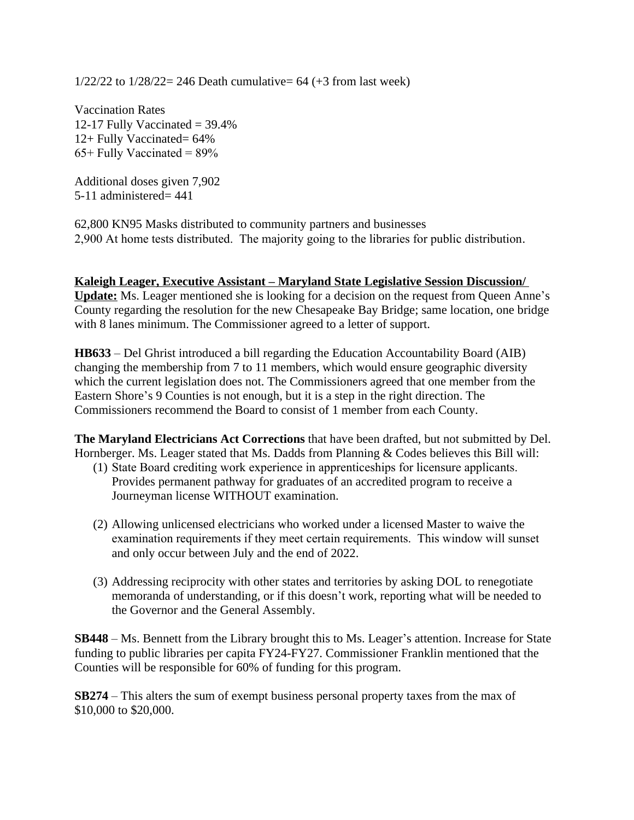$1/22/22$  to  $1/28/22 = 246$  Death cumulative= 64 (+3 from last week)

Vaccination Rates 12-17 Fully Vaccinated  $=$  39.4% 12+ Fully Vaccinated= 64%  $65+$  Fully Vaccinated =  $89%$ 

Additional doses given 7,902 5-11 administered= 441

62,800 KN95 Masks distributed to community partners and businesses 2,900 At home tests distributed. The majority going to the libraries for public distribution.

#### **Kaleigh Leager, Executive Assistant – Maryland State Legislative Session Discussion/**

**Update:** Ms. Leager mentioned she is looking for a decision on the request from Queen Anne's County regarding the resolution for the new Chesapeake Bay Bridge; same location, one bridge with 8 lanes minimum. The Commissioner agreed to a letter of support.

**HB633** – Del Ghrist introduced a bill regarding the Education Accountability Board (AIB) changing the membership from 7 to 11 members, which would ensure geographic diversity which the current legislation does not. The Commissioners agreed that one member from the Eastern Shore's 9 Counties is not enough, but it is a step in the right direction. The Commissioners recommend the Board to consist of 1 member from each County.

**The Maryland Electricians Act Corrections** that have been drafted, but not submitted by Del. Hornberger. Ms. Leager stated that Ms. Dadds from Planning & Codes believes this Bill will:

- (1) State Board crediting work experience in apprenticeships for licensure applicants. Provides permanent pathway for graduates of an accredited program to receive a Journeyman license WITHOUT examination.
- (2) Allowing unlicensed electricians who worked under a licensed Master to waive the examination requirements if they meet certain requirements. This window will sunset and only occur between July and the end of 2022.
- (3) Addressing reciprocity with other states and territories by asking DOL to renegotiate memoranda of understanding, or if this doesn't work, reporting what will be needed to the Governor and the General Assembly.

**SB448** – Ms. Bennett from the Library brought this to Ms. Leager's attention. Increase for State funding to public libraries per capita FY24-FY27. Commissioner Franklin mentioned that the Counties will be responsible for 60% of funding for this program.

**SB274** – This alters the sum of exempt business personal property taxes from the max of \$10,000 to \$20,000.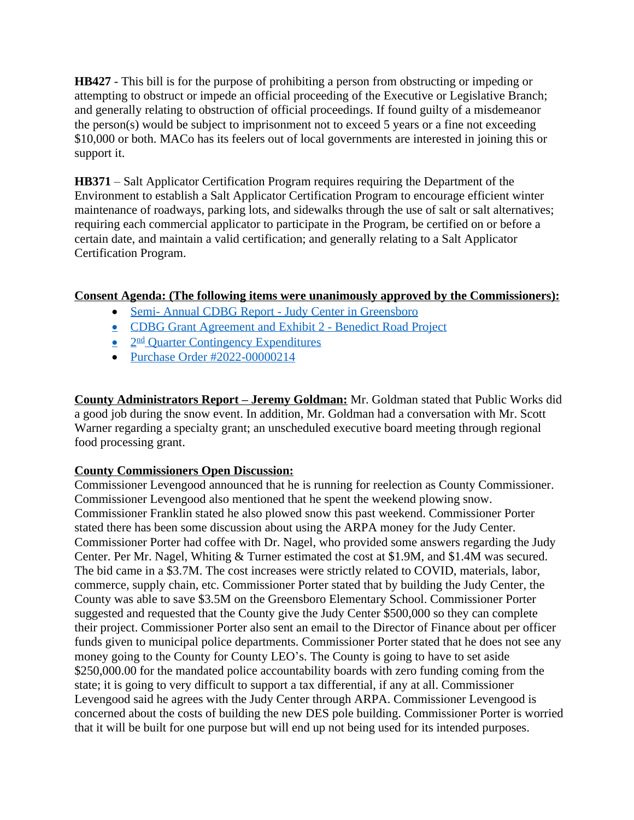**HB427** - This bill is for the purpose of prohibiting a person from obstructing or impeding or attempting to obstruct or impede an official proceeding of the Executive or Legislative Branch; and generally relating to obstruction of official proceedings. If found guilty of a misdemeanor the person(s) would be subject to imprisonment not to exceed 5 years or a fine not exceeding \$10,000 or both. MACo has its feelers out of local governments are interested in joining this or support it.

**HB371** – Salt Applicator Certification Program requires requiring the Department of the Environment to establish a Salt Applicator Certification Program to encourage efficient winter maintenance of roadways, parking lots, and sidewalks through the use of salt or salt alternatives; requiring each commercial applicator to participate in the Program, be certified on or before a certain date, and maintain a valid certification; and generally relating to a Salt Applicator Certification Program.

## **Consent Agenda: (The following items were unanimously approved by the Commissioners):**

- [Semi- Annual CDBG Report Judy Center in Greensboro](https://www.carolinemd.org/DocumentCenter/View/6850/JC-Public-Facility-Semi-Annual-Progress-Report-Caroline-County-21CD23-4-1)
- [CDBG Grant Agreement and Exhibit 2 Benedict Road Project](https://www.carolinemd.org/DocumentCenter/View/6849/CDBG-Agreement-to-be-signed)
- 2<sup>nd</sup> Quarter Contingency Expenditures
- [Purchase Order #2022-00000214](https://www.carolinemd.org/DocumentCenter/View/6852/PO2022-214)

**County Administrators Report – Jeremy Goldman:** Mr. Goldman stated that Public Works did a good job during the snow event. In addition, Mr. Goldman had a conversation with Mr. Scott Warner regarding a specialty grant; an unscheduled executive board meeting through regional food processing grant.

# **County Commissioners Open Discussion:**

Commissioner Levengood announced that he is running for reelection as County Commissioner. Commissioner Levengood also mentioned that he spent the weekend plowing snow. Commissioner Franklin stated he also plowed snow this past weekend. Commissioner Porter stated there has been some discussion about using the ARPA money for the Judy Center. Commissioner Porter had coffee with Dr. Nagel, who provided some answers regarding the Judy Center. Per Mr. Nagel, Whiting & Turner estimated the cost at \$1.9M, and \$1.4M was secured. The bid came in a \$3.7M. The cost increases were strictly related to COVID, materials, labor, commerce, supply chain, etc. Commissioner Porter stated that by building the Judy Center, the County was able to save \$3.5M on the Greensboro Elementary School. Commissioner Porter suggested and requested that the County give the Judy Center \$500,000 so they can complete their project. Commissioner Porter also sent an email to the Director of Finance about per officer funds given to municipal police departments. Commissioner Porter stated that he does not see any money going to the County for County LEO's. The County is going to have to set aside \$250,000.00 for the mandated police accountability boards with zero funding coming from the state; it is going to very difficult to support a tax differential, if any at all. Commissioner Levengood said he agrees with the Judy Center through ARPA. Commissioner Levengood is concerned about the costs of building the new DES pole building. Commissioner Porter is worried that it will be built for one purpose but will end up not being used for its intended purposes.